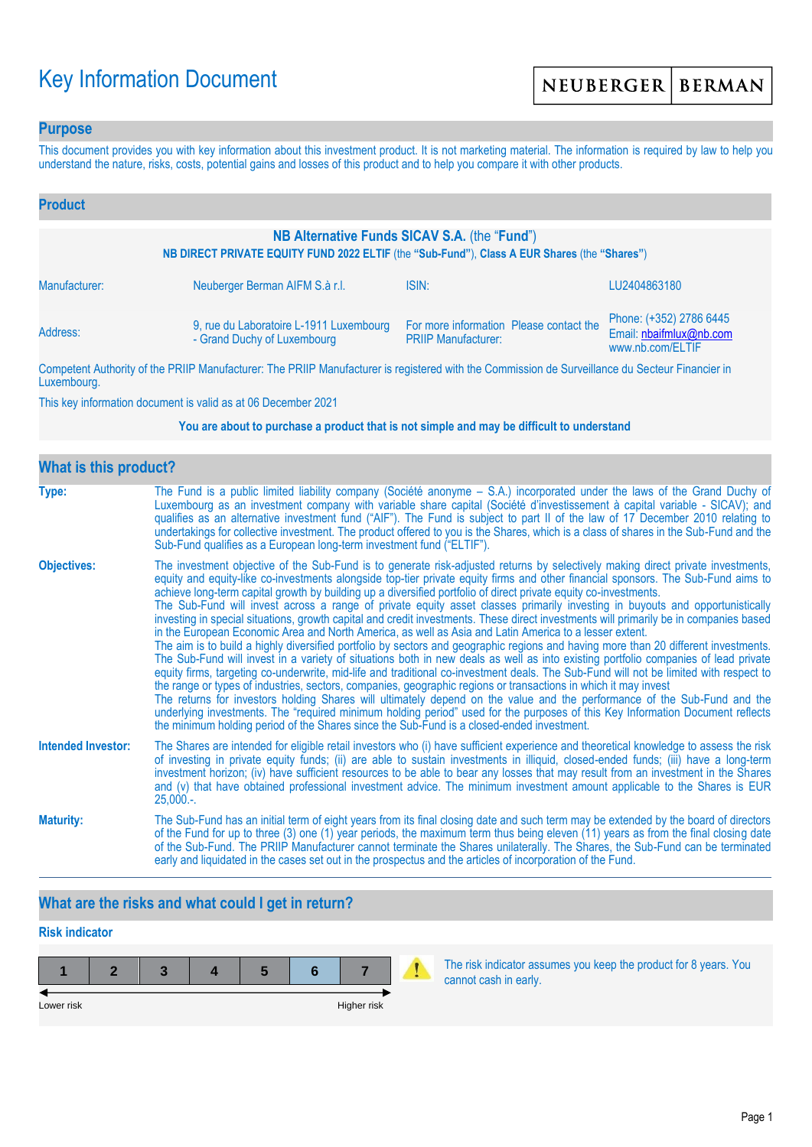# Key Information Document

### **Purpose**

This document provides you with key information about this investment product. It is not marketing material. The information is required by law to help you understand the nature, risks, costs, potential gains and losses of this product and to help you compare it with other products.

| <b>Product</b>                                                                                                                               |                                                                        |                                                                       |                                                                        |  |  |
|----------------------------------------------------------------------------------------------------------------------------------------------|------------------------------------------------------------------------|-----------------------------------------------------------------------|------------------------------------------------------------------------|--|--|
| NB Alternative Funds SICAV S.A. (the "Fund")<br>NB DIRECT PRIVATE EQUITY FUND 2022 ELTIF (the "Sub-Fund"), Class A EUR Shares (the "Shares") |                                                                        |                                                                       |                                                                        |  |  |
| Manufacturer:                                                                                                                                | Neuberger Berman AIFM S.à r.l.                                         | ISIN:                                                                 | LU2404863180                                                           |  |  |
| Address:                                                                                                                                     | 9, rue du Laboratoire L-1911 Luxembourg<br>- Grand Duchy of Luxembourg | For more information Please contact the<br><b>PRIIP Manufacturer:</b> | Phone: (+352) 2786 6445<br>Email: nbaifmlux@nb.com<br>www.nb.com/ELTIF |  |  |

Competent Authority of the PRIIP Manufacturer: The PRIIP Manufacturer is registered with the Commission de Surveillance du Secteur Financier in Luxembourg.

This key information document is valid as at 06 December 2021

#### **You are about to purchase a product that is not simple and may be difficult to understand**

| <b>What is this product?</b> |                                                                                                                                                                                                                                                                                                                                                                                                                                                                                                                                                                                                                                                                                                                                                                                                                                                                                                                                                                                                                                                                                                                                                                                                                                                                                                                                                                                                                                                                                                                                                                                                                                                                               |
|------------------------------|-------------------------------------------------------------------------------------------------------------------------------------------------------------------------------------------------------------------------------------------------------------------------------------------------------------------------------------------------------------------------------------------------------------------------------------------------------------------------------------------------------------------------------------------------------------------------------------------------------------------------------------------------------------------------------------------------------------------------------------------------------------------------------------------------------------------------------------------------------------------------------------------------------------------------------------------------------------------------------------------------------------------------------------------------------------------------------------------------------------------------------------------------------------------------------------------------------------------------------------------------------------------------------------------------------------------------------------------------------------------------------------------------------------------------------------------------------------------------------------------------------------------------------------------------------------------------------------------------------------------------------------------------------------------------------|
| Type:                        | The Fund is a public limited liability company (Société anonyme – S.A.) incorporated under the laws of the Grand Duchy of<br>Luxembourg as an investment company with variable share capital (Société d'investissement à capital variable - SICAV); and<br>qualifies as an alternative investment fund ("AIF"). The Fund is subject to part II of the law of 17 December 2010 relating to<br>undertakings for collective investment. The product offered to you is the Shares, which is a class of shares in the Sub-Fund and the<br>Sub-Fund qualifies as a European long-term investment fund ("ELTIF").                                                                                                                                                                                                                                                                                                                                                                                                                                                                                                                                                                                                                                                                                                                                                                                                                                                                                                                                                                                                                                                                    |
| <b>Objectives:</b>           | The investment objective of the Sub-Fund is to generate risk-adjusted returns by selectively making direct private investments,<br>equity and equity-like co-investments alongside top-tier private equity firms and other financial sponsors. The Sub-Fund aims to<br>achieve long-term capital growth by building up a diversified portfolio of direct private equity co-investments.<br>The Sub-Fund will invest across a range of private equity asset classes primarily investing in buyouts and opportunistically<br>investing in special situations, growth capital and credit investments. These direct investments will primarily be in companies based<br>in the European Economic Area and North America, as well as Asia and Latin America to a lesser extent.<br>The aim is to build a highly diversified portfolio by sectors and geographic regions and having more than 20 different investments.<br>The Sub-Fund will invest in a variety of situations both in new deals as well as into existing portfolio companies of lead private<br>equity firms, targeting co-underwrite, mid-life and traditional co-investment deals. The Sub-Fund will not be limited with respect to<br>the range or types of industries, sectors, companies, geographic regions or transactions in which it may invest<br>The returns for investors holding Shares will ultimately depend on the value and the performance of the Sub-Fund and the<br>underlying investments. The "required minimum holding period" used for the purposes of this Key Information Document reflects<br>the minimum holding period of the Shares since the Sub-Fund is a closed-ended investment. |
| <b>Intended Investor:</b>    | The Shares are intended for eligible retail investors who (i) have sufficient experience and theoretical knowledge to assess the risk<br>of investing in private equity funds; (ii) are able to sustain investments in illiquid, closed-ended funds; (iii) have a long-term<br>investment horizon; (iv) have sufficient resources to be able to bear any losses that may result from an investment in the Shares<br>and (v) that have obtained professional investment advice. The minimum investment amount applicable to the Shares is EUR<br>$25,000.$ -.                                                                                                                                                                                                                                                                                                                                                                                                                                                                                                                                                                                                                                                                                                                                                                                                                                                                                                                                                                                                                                                                                                                  |
| <b>Maturity:</b>             | The Sub-Fund has an initial term of eight years from its final closing date and such term may be extended by the board of directors<br>of the Fund for up to three (3) one (1) year periods, the maximum term thus being eleven (11) years as from the final closing date<br>of the Sub-Fund. The PRIIP Manufacturer cannot terminate the Shares unilaterally. The Shares, the Sub-Fund can be terminated<br>early and liquidated in the cases set out in the prospectus and the articles of incorporation of the Fund.                                                                                                                                                                                                                                                                                                                                                                                                                                                                                                                                                                                                                                                                                                                                                                                                                                                                                                                                                                                                                                                                                                                                                       |

## **What are the risks and what could I get in return?**

## **Risk indicator**

| Lower risk |  |  | Higher risk |  |
|------------|--|--|-------------|--|

The risk indicator assumes you keep the product for 8 years. You cannot cash in early.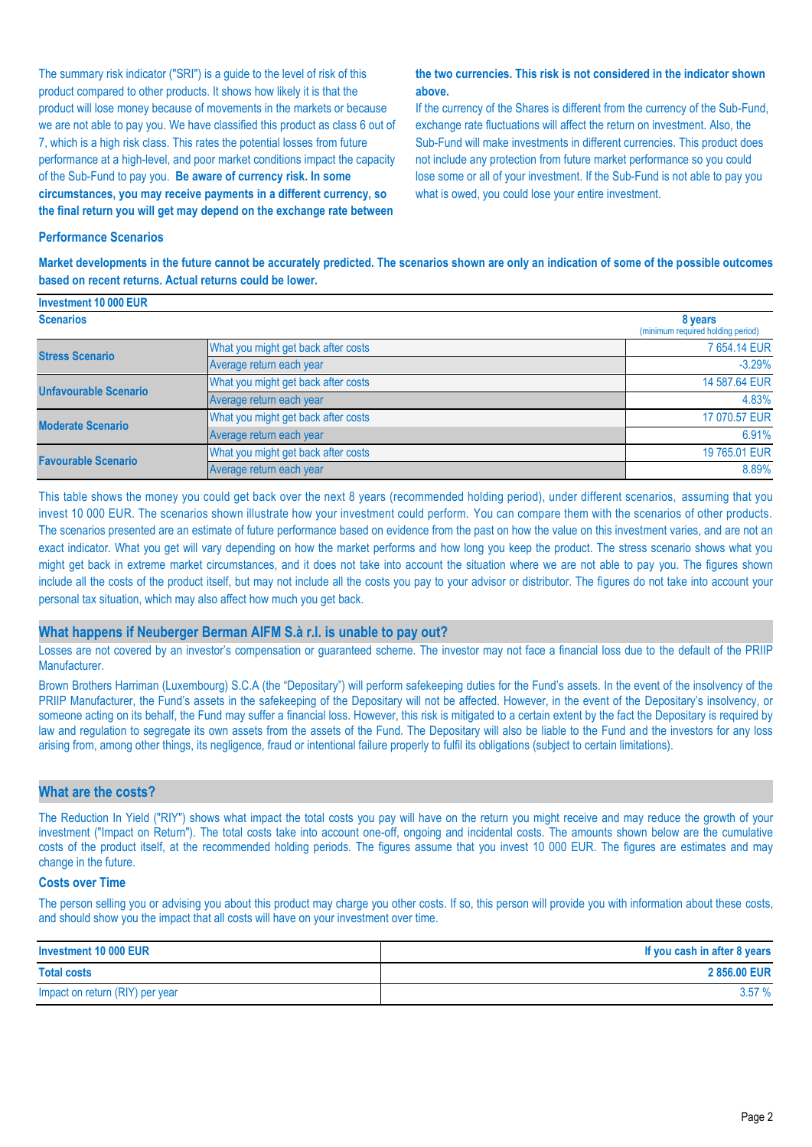The summary risk indicator ("SRI") is a guide to the level of risk of this product compared to other products. It shows how likely it is that the product will lose money because of movements in the markets or because we are not able to pay you. We have classified this product as class 6 out of 7, which is a high risk class. This rates the potential losses from future performance at a high-level, and poor market conditions impact the capacity of the Sub-Fund to pay you. **Be aware of currency risk. In some circumstances, you may receive payments in a different currency, so the final return you will get may depend on the exchange rate between** 

#### **the two currencies. This risk is not considered in the indicator shown above.**

If the currency of the Shares is different from the currency of the Sub-Fund, exchange rate fluctuations will affect the return on investment. Also, the Sub-Fund will make investments in different currencies. This product does not include any protection from future market performance so you could lose some or all of your investment. If the Sub-Fund is not able to pay you what is owed, you could lose your entire investment.

#### **Performance Scenarios**

**Market developments in the future cannot be accurately predicted. The scenarios shown are only an indication of some of the possible outcomes based on recent returns. Actual returns could be lower.**

| Investment 10 000 EUR        |                                              |               |
|------------------------------|----------------------------------------------|---------------|
| <b>Scenarios</b>             | 8 years<br>(minimum required holding period) |               |
| <b>Stress Scenario</b>       | What you might get back after costs          | 7 654,14 EUR  |
|                              | Average return each year                     | $-3.29%$      |
| <b>Unfavourable Scenario</b> | What you might get back after costs          | 14 587.64 EUR |
|                              | Average return each year                     | 4.83%         |
| <b>Moderate Scenario</b>     | What you might get back after costs          | 17 070.57 EUR |
|                              | Average return each year                     | 6.91%         |
| <b>Favourable Scenario</b>   | What you might get back after costs          | 19 765.01 EUR |
|                              | Average return each year                     | 8.89%         |

This table shows the money you could get back over the next 8 years (recommended holding period), under different scenarios, assuming that you invest 10 000 EUR. The scenarios shown illustrate how your investment could perform. You can compare them with the scenarios of other products. The scenarios presented are an estimate of future performance based on evidence from the past on how the value on this investment varies, and are not an exact indicator. What you get will vary depending on how the market performs and how long you keep the product. The stress scenario shows what you might get back in extreme market circumstances, and it does not take into account the situation where we are not able to pay you. The figures shown include all the costs of the product itself, but may not include all the costs you pay to your advisor or distributor. The figures do not take into account your personal tax situation, which may also affect how much you get back.

#### **What happens if Neuberger Berman AIFM S.à r.l. is unable to pay out?**

Losses are not covered by an investor's compensation or guaranteed scheme. The investor may not face a financial loss due to the default of the PRIIP Manufacturer.

Brown Brothers Harriman (Luxembourg) S.C.A (the "Depositary") will perform safekeeping duties for the Fund's assets. In the event of the insolvency of the PRIIP Manufacturer, the Fund's assets in the safekeeping of the Depositary will not be affected. However, in the event of the Depositary's insolvency, or someone acting on its behalf, the Fund may suffer a financial loss. However, this risk is mitigated to a certain extent by the fact the Depositary is required by law and regulation to segregate its own assets from the assets of the Fund. The Depositary will also be liable to the Fund and the investors for any loss arising from, among other things, its negligence, fraud or intentional failure properly to fulfil its obligations (subject to certain limitations).

#### **What are the costs?**

The Reduction In Yield ("RIY") shows what impact the total costs you pay will have on the return you might receive and may reduce the growth of your investment ("Impact on Return"). The total costs take into account one-off, ongoing and incidental costs. The amounts shown below are the cumulative costs of the product itself, at the recommended holding periods. The figures assume that you invest 10 000 EUR. The figures are estimates and may change in the future.

#### **Costs over Time**

The person selling you or advising you about this product may charge you other costs. If so, this person will provide you with information about these costs, and should show you the impact that all costs will have on your investment over time.

| Investment 10 000 EUR           | If you cash in after 8 years |
|---------------------------------|------------------------------|
| <b>Total costs</b>              | 2856.00 EUR                  |
| Impact on return (RIY) per year | 3.57%                        |